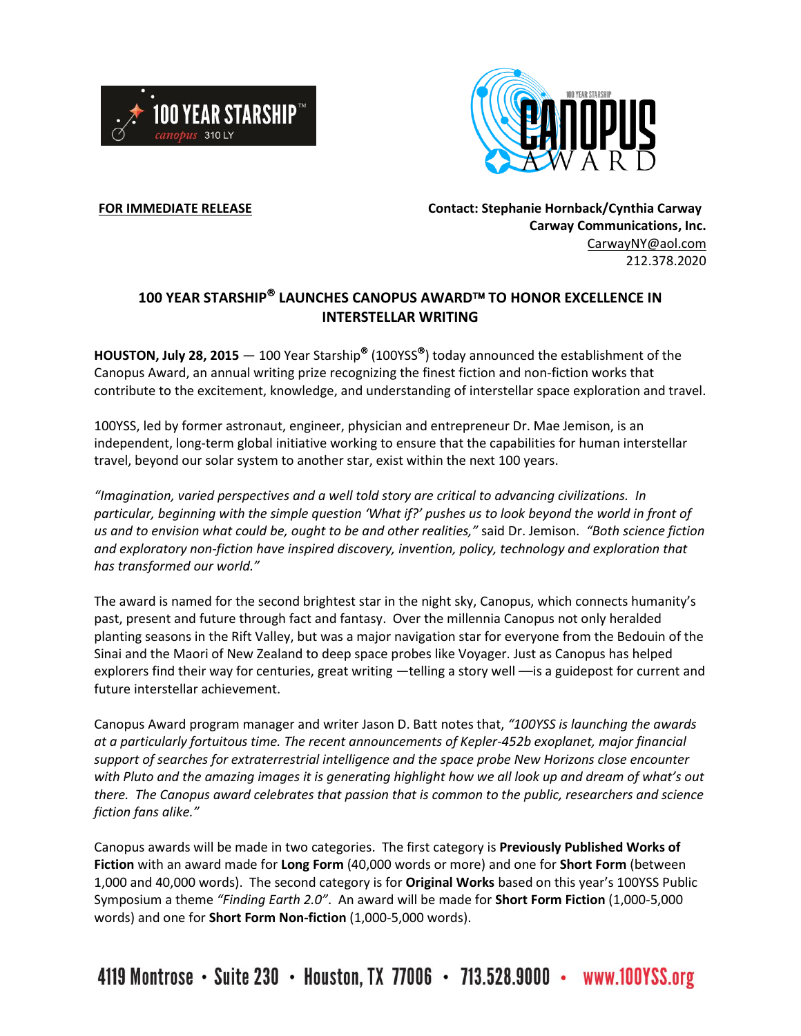



**FOR IMMEDIATE RELEASE Contact: Stephanie Hornback/Cynthia Carway Carway Communications, Inc.** [CarwayNY@aol.com](mailto:CarwayNY@aol.com) 212.378.2020

## **100 YEAR STARSHIP LAUNCHES CANOPUS AWARD TO HONOR EXCELLENCE IN INTERSTELLAR WRITING**

**HOUSTON, July 28, 2015** — 100 Year Starship (100YSS ) today announced the establishment of the Canopus Award, an annual writing prize recognizing the finest fiction and non-fiction works that contribute to the excitement, knowledge, and understanding of interstellar space exploration and travel.

100YSS, led by former astronaut, engineer, physician and entrepreneur Dr. Mae Jemison, is an independent, long-term global initiative working to ensure that the capabilities for human interstellar travel, beyond our solar system to another star, exist within the next 100 years.

*"Imagination, varied perspectives and a well told story are critical to advancing civilizations. In particular, beginning with the simple question 'What if?' pushes us to look beyond the world in front of us and to envision what could be, ought to be and other realities,"* said Dr. Jemison. *"Both science fiction and exploratory non-fiction have inspired discovery, invention, policy, technology and exploration that has transformed our world."*

The award is named for the second brightest star in the night sky, Canopus, which connects humanity's past, present and future through fact and fantasy. Over the millennia Canopus not only heralded planting seasons in the Rift Valley, but was a major navigation star for everyone from the Bedouin of the Sinai and the Maori of New Zealand to deep space probes like Voyager. Just as Canopus has helped explorers find their way for centuries, great writing —telling a story well ––is a guidepost for current and future interstellar achievement.

Canopus Award program manager and writer Jason D. Batt notes that, *"100YSS is launching the awards at a particularly fortuitous time. The recent announcements of Kepler-452b exoplanet, major financial support of searches for extraterrestrial intelligence and the space probe New Horizons close encounter with Pluto and the amazing images it is generating highlight how we all look up and dream of what's out there. The Canopus award celebrates that passion that is common to the public, researchers and science fiction fans alike."*

Canopus awards will be made in two categories. The first category is **Previously Published Works of Fiction** with an award made for **Long Form** (40,000 words or more) and one for **Short Form** (between 1,000 and 40,000 words). The second category is for **Original Works** based on this year's 100YSS Public Symposium a theme *"Finding Earth 2.0"*. An award will be made for **Short Form Fiction** (1,000-5,000 words) and one for **Short Form Non-fiction** (1,000-5,000 words).

4119 Montrose • Suite 230 • Houston, TX 77006 • 713.528.9000 • www.100YSS.org